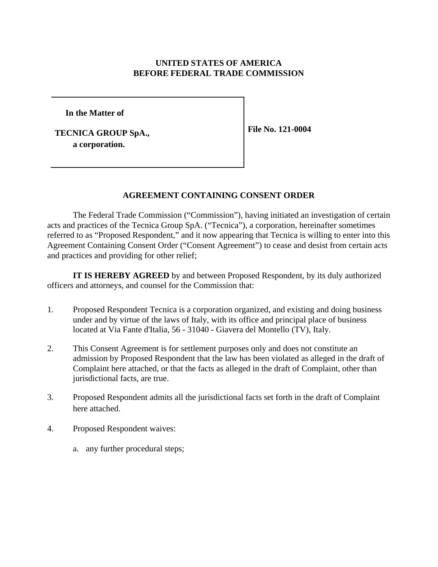# **UNITED STATES OF AMERICA BEFORE FEDERAL TRADE COMMISSION**

**In the Matter of**

**TECNICA GROUP SpA., a corporation.**

**File No. 121-0004**

#### **AGREEMENT CONTAINING CONSENT ORDER**

The Federal Trade Commission ("Commission"), having initiated an investigation of certain acts and practices of the Tecnica Group SpA. ("Tecnica"), a corporation, hereinafter sometimes referred to as "Proposed Respondent," and it now appearing that Tecnica is willing to enter into this Agreement Containing Consent Order ("Consent Agreement") to cease and desist from certain acts and practices and providing for other relief;

**IT IS HEREBY AGREED** by and between Proposed Respondent, by its duly authorized officers and attorneys, and counsel for the Commission that:

- 1. Proposed Respondent Tecnica is a corporation organized, and existing and doing business under and by virtue of the laws of Italy, with its office and principal place of business located at Via Fante d'Italia, 56 - 31040 - Giavera del Montello (TV), Italy.
- 2. This Consent Agreement is for settlement purposes only and does not constitute an admission by Proposed Respondent that the law has been violated as alleged in the draft of Complaint here attached, or that the facts as alleged in the draft of Complaint, other than jurisdictional facts, are true.
- 3. Proposed Respondent admits all the jurisdictional facts set forth in the draft of Complaint here attached.
- 4. Proposed Respondent waives:
	- a. any further procedural steps;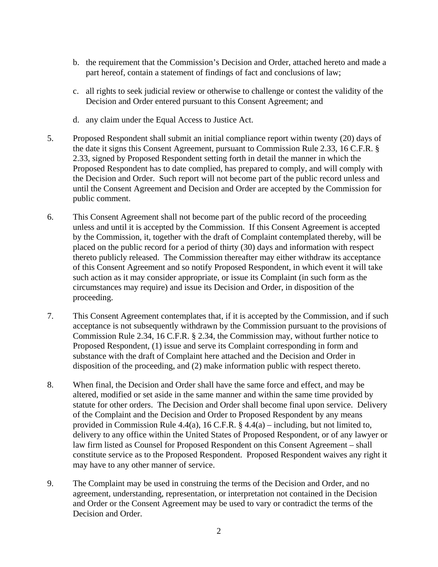- b. the requirement that the Commission's Decision and Order, attached hereto and made a part hereof, contain a statement of findings of fact and conclusions of law;
- c. all rights to seek judicial review or otherwise to challenge or contest the validity of the Decision and Order entered pursuant to this Consent Agreement; and
- d. any claim under the Equal Access to Justice Act.
- 5. Proposed Respondent shall submit an initial compliance report within twenty (20) days of the date it signs this Consent Agreement, pursuant to Commission Rule 2.33, 16 C.F.R. § 2.33, signed by Proposed Respondent setting forth in detail the manner in which the Proposed Respondent has to date complied, has prepared to comply, and will comply with the Decision and Order. Such report will not become part of the public record unless and until the Consent Agreement and Decision and Order are accepted by the Commission for public comment.
- 6. This Consent Agreement shall not become part of the public record of the proceeding unless and until it is accepted by the Commission. If this Consent Agreement is accepted by the Commission, it, together with the draft of Complaint contemplated thereby, will be placed on the public record for a period of thirty (30) days and information with respect thereto publicly released. The Commission thereafter may either withdraw its acceptance of this Consent Agreement and so notify Proposed Respondent, in which event it will take such action as it may consider appropriate, or issue its Complaint (in such form as the circumstances may require) and issue its Decision and Order, in disposition of the proceeding.
- 7. This Consent Agreement contemplates that, if it is accepted by the Commission, and if such acceptance is not subsequently withdrawn by the Commission pursuant to the provisions of Commission Rule 2.34, 16 C.F.R. § 2.34, the Commission may, without further notice to Proposed Respondent, (1) issue and serve its Complaint corresponding in form and substance with the draft of Complaint here attached and the Decision and Order in disposition of the proceeding, and (2) make information public with respect thereto.
- 8. When final, the Decision and Order shall have the same force and effect, and may be altered, modified or set aside in the same manner and within the same time provided by statute for other orders. The Decision and Order shall become final upon service. Delivery of the Complaint and the Decision and Order to Proposed Respondent by any means provided in Commission Rule 4.4(a), 16 C.F.R.  $\S$  4.4(a) – including, but not limited to, delivery to any office within the United States of Proposed Respondent, or of any lawyer or law firm listed as Counsel for Proposed Respondent on this Consent Agreement – shall constitute service as to the Proposed Respondent. Proposed Respondent waives any right it may have to any other manner of service.
- 9. The Complaint may be used in construing the terms of the Decision and Order, and no agreement, understanding, representation, or interpretation not contained in the Decision and Order or the Consent Agreement may be used to vary or contradict the terms of the Decision and Order.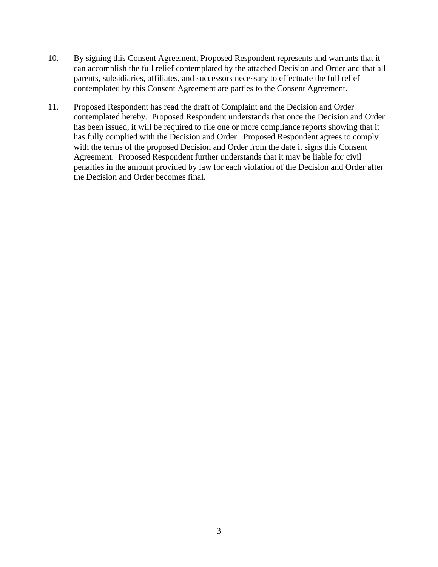- 10. By signing this Consent Agreement, Proposed Respondent represents and warrants that it can accomplish the full relief contemplated by the attached Decision and Order and that all parents, subsidiaries, affiliates, and successors necessary to effectuate the full relief contemplated by this Consent Agreement are parties to the Consent Agreement.
- 11. Proposed Respondent has read the draft of Complaint and the Decision and Order contemplated hereby. Proposed Respondent understands that once the Decision and Order has been issued, it will be required to file one or more compliance reports showing that it has fully complied with the Decision and Order. Proposed Respondent agrees to comply with the terms of the proposed Decision and Order from the date it signs this Consent Agreement. Proposed Respondent further understands that it may be liable for civil penalties in the amount provided by law for each violation of the Decision and Order after the Decision and Order becomes final.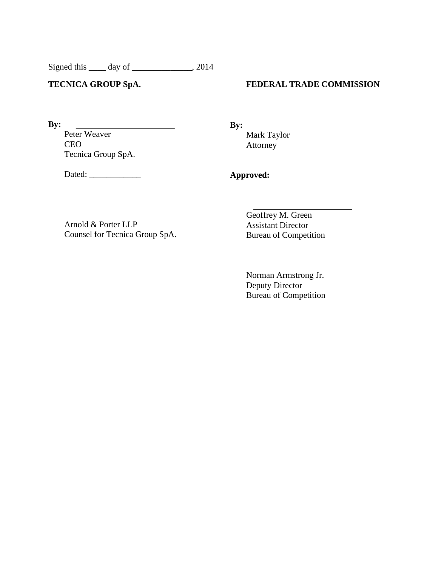Signed this \_\_\_\_\_ day of \_\_\_\_\_\_\_\_\_\_\_\_\_, 2014

### **TECNICA GROUP SpA.**

## **FEDERAL TRADE COMMISSION**

**By:**

Peter Weaver CEO Tecnica Group SpA. **By:**

Mark Taylor Attorney

Dated: \_\_\_\_\_\_\_\_\_\_\_\_

**Approved:**

Arnold & Porter LLP Counsel for Tecnica Group SpA. Geoffrey M. Green Assistant Director Bureau of Competition

Norman Armstrong Jr. Deputy Director Bureau of Competition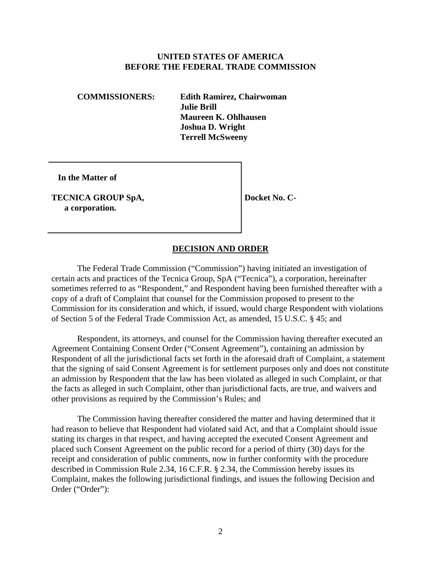#### **UNITED STATES OF AMERICA BEFORE THE FEDERAL TRADE COMMISSION**

**COMMISSIONERS: Edith Ramirez, Chairwoman Julie Brill Maureen K. Ohlhausen Joshua D. Wright Terrell McSweeny** 

 **In the Matter of** 

**TECNICA GROUP SpA, a corporation.** 

**Docket No. C-**

### **DECISION AND ORDER**

The Federal Trade Commission ("Commission") having initiated an investigation of certain acts and practices of the Tecnica Group, SpA ("Tecnica"), a corporation, hereinafter sometimes referred to as "Respondent," and Respondent having been furnished thereafter with a copy of a draft of Complaint that counsel for the Commission proposed to present to the Commission for its consideration and which, if issued, would charge Respondent with violations of Section 5 of the Federal Trade Commission Act, as amended, 15 U.S.C. § 45; and

Respondent, its attorneys, and counsel for the Commission having thereafter executed an Agreement Containing Consent Order ("Consent Agreement"), containing an admission by Respondent of all the jurisdictional facts set forth in the aforesaid draft of Complaint, a statement that the signing of said Consent Agreement is for settlement purposes only and does not constitute an admission by Respondent that the law has been violated as alleged in such Complaint, or that the facts as alleged in such Complaint, other than jurisdictional facts, are true, and waivers and other provisions as required by the Commission's Rules; and

The Commission having thereafter considered the matter and having determined that it had reason to believe that Respondent had violated said Act, and that a Complaint should issue stating its charges in that respect, and having accepted the executed Consent Agreement and placed such Consent Agreement on the public record for a period of thirty (30) days for the receipt and consideration of public comments, now in further conformity with the procedure described in Commission Rule 2.34, 16 C.F.R. § 2.34, the Commission hereby issues its Complaint, makes the following jurisdictional findings, and issues the following Decision and Order ("Order"):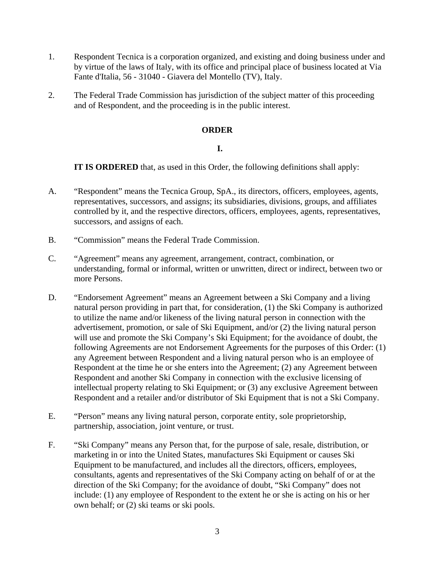- 1. Respondent Tecnica is a corporation organized, and existing and doing business under and by virtue of the laws of Italy, with its office and principal place of business located at Via Fante d'Italia, 56 - 31040 - Giavera del Montello (TV), Italy.
- 2. The Federal Trade Commission has jurisdiction of the subject matter of this proceeding and of Respondent, and the proceeding is in the public interest.

# **ORDER**

## **I.**

 **IT IS ORDERED** that, as used in this Order, the following definitions shall apply:

- A. "Respondent" means the Tecnica Group, SpA., its directors, officers, employees, agents, representatives, successors, and assigns; its subsidiaries, divisions, groups, and affiliates controlled by it, and the respective directors, officers, employees, agents, representatives, successors, and assigns of each.
- B. "Commission" means the Federal Trade Commission.
- C. "Agreement" means any agreement, arrangement, contract, combination, or understanding, formal or informal, written or unwritten, direct or indirect, between two or more Persons.
- D. "Endorsement Agreement" means an Agreement between a Ski Company and a living natural person providing in part that, for consideration, (1) the Ski Company is authorized to utilize the name and/or likeness of the living natural person in connection with the advertisement, promotion, or sale of Ski Equipment, and/or (2) the living natural person will use and promote the Ski Company's Ski Equipment; for the avoidance of doubt, the following Agreements are not Endorsement Agreements for the purposes of this Order: (1) any Agreement between Respondent and a living natural person who is an employee of Respondent at the time he or she enters into the Agreement; (2) any Agreement between Respondent and another Ski Company in connection with the exclusive licensing of intellectual property relating to Ski Equipment; or (3) any exclusive Agreement between Respondent and a retailer and/or distributor of Ski Equipment that is not a Ski Company.
- E. "Person" means any living natural person, corporate entity, sole proprietorship, partnership, association, joint venture, or trust.
- F. "Ski Company" means any Person that, for the purpose of sale, resale, distribution, or marketing in or into the United States, manufactures Ski Equipment or causes Ski Equipment to be manufactured, and includes all the directors, officers, employees, consultants, agents and representatives of the Ski Company acting on behalf of or at the direction of the Ski Company; for the avoidance of doubt, "Ski Company" does not include: (1) any employee of Respondent to the extent he or she is acting on his or her own behalf; or (2) ski teams or ski pools.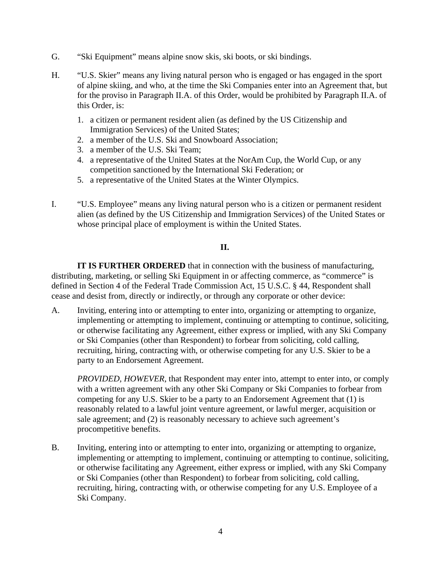- G. "Ski Equipment" means alpine snow skis, ski boots, or ski bindings.
- H. "U.S. Skier" means any living natural person who is engaged or has engaged in the sport of alpine skiing, and who, at the time the Ski Companies enter into an Agreement that, but for the proviso in Paragraph II.A. of this Order, would be prohibited by Paragraph II.A. of this Order, is:
	- 1. a citizen or permanent resident alien (as defined by the US Citizenship and Immigration Services) of the United States;
	- 2. a member of the U.S. Ski and Snowboard Association;
	- 3. a member of the U.S. Ski Team;
	- 4. a representative of the United States at the NorAm Cup, the World Cup, or any competition sanctioned by the International Ski Federation; or
	- 5. a representative of the United States at the Winter Olympics.
- I. "U.S. Employee" means any living natural person who is a citizen or permanent resident alien (as defined by the US Citizenship and Immigration Services) of the United States or whose principal place of employment is within the United States.

#### **II.**

**IT IS FURTHER ORDERED** that in connection with the business of manufacturing, distributing, marketing, or selling Ski Equipment in or affecting commerce, as "commerce" is defined in Section 4 of the Federal Trade Commission Act, 15 U.S.C. § 44, Respondent shall cease and desist from, directly or indirectly, or through any corporate or other device:

A. Inviting, entering into or attempting to enter into, organizing or attempting to organize, implementing or attempting to implement, continuing or attempting to continue, soliciting, or otherwise facilitating any Agreement, either express or implied, with any Ski Company or Ski Companies (other than Respondent) to forbear from soliciting, cold calling, recruiting, hiring, contracting with, or otherwise competing for any U.S. Skier to be a party to an Endorsement Agreement.

*PROVIDED, HOWEVER*, that Respondent may enter into, attempt to enter into, or comply with a written agreement with any other Ski Company or Ski Companies to forbear from competing for any U.S. Skier to be a party to an Endorsement Agreement that (1) is reasonably related to a lawful joint venture agreement, or lawful merger, acquisition or sale agreement; and (2) is reasonably necessary to achieve such agreement's procompetitive benefits.

B. Inviting, entering into or attempting to enter into, organizing or attempting to organize, implementing or attempting to implement, continuing or attempting to continue, soliciting, or otherwise facilitating any Agreement, either express or implied, with any Ski Company or Ski Companies (other than Respondent) to forbear from soliciting, cold calling, recruiting, hiring, contracting with, or otherwise competing for any U.S. Employee of a Ski Company.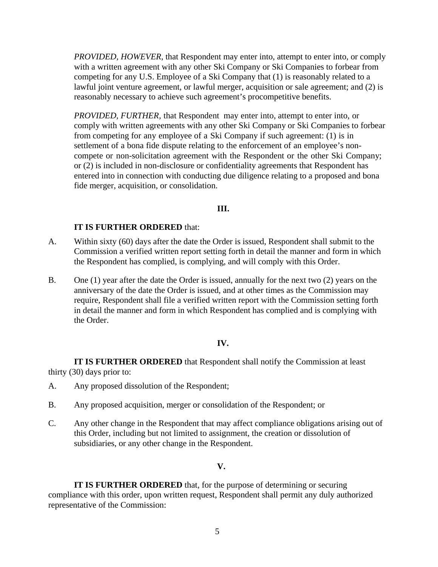*PROVIDED, HOWEVER*, that Respondent may enter into, attempt to enter into, or comply with a written agreement with any other Ski Company or Ski Companies to forbear from competing for any U.S. Employee of a Ski Company that (1) is reasonably related to a lawful joint venture agreement, or lawful merger, acquisition or sale agreement; and (2) is reasonably necessary to achieve such agreement's procompetitive benefits.

*PROVIDED, FURTHER,* that Respondent may enter into, attempt to enter into, or comply with written agreements with any other Ski Company or Ski Companies to forbear from competing for any employee of a Ski Company if such agreement: (1) is in settlement of a bona fide dispute relating to the enforcement of an employee's noncompete or non-solicitation agreement with the Respondent or the other Ski Company; or (2) is included in non-disclosure or confidentiality agreements that Respondent has entered into in connection with conducting due diligence relating to a proposed and bona fide merger, acquisition, or consolidation.

#### **III.**

## **IT IS FURTHER ORDERED** that:

- A. Within sixty (60) days after the date the Order is issued, Respondent shall submit to the Commission a verified written report setting forth in detail the manner and form in which the Respondent has complied, is complying, and will comply with this Order.
- B. One (1) year after the date the Order is issued, annually for the next two (2) years on the anniversary of the date the Order is issued, and at other times as the Commission may require, Respondent shall file a verified written report with the Commission setting forth in detail the manner and form in which Respondent has complied and is complying with the Order.

## **IV.**

**IT IS FURTHER ORDERED** that Respondent shall notify the Commission at least thirty (30) days prior to:

- A. Any proposed dissolution of the Respondent;
- B. Any proposed acquisition, merger or consolidation of the Respondent; or
- C. Any other change in the Respondent that may affect compliance obligations arising out of this Order, including but not limited to assignment, the creation or dissolution of subsidiaries, or any other change in the Respondent.

#### **V.**

**IT IS FURTHER ORDERED** that, for the purpose of determining or securing compliance with this order, upon written request, Respondent shall permit any duly authorized representative of the Commission: